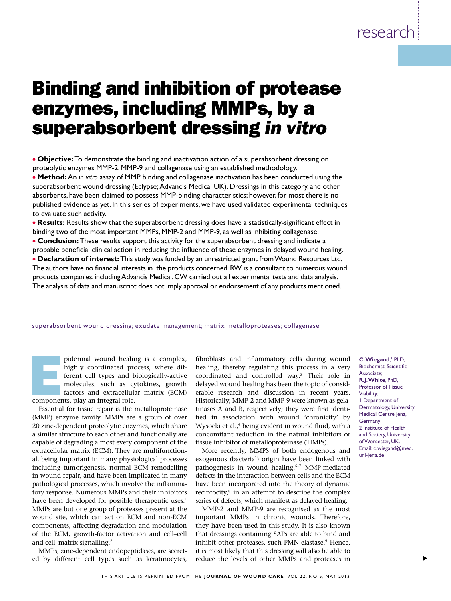# Binding and inhibition of protease enzymes, including MMPs, by a superabsorbent dressing *in vitro*

<sup>l</sup>**Objective:** To demonstrate the binding and inactivation action of a superabsorbent dressing on proteolytic enzymes MMP-2, MMP-9 and collagenase using an established methodology.

<sup>l</sup> **Method:**An *in vitro* assay of MMP binding and collagenase inactivation has been conducted using the superabsorbent wound dressing (Eclypse; Advancis Medical UK). Dressings in this category, and other absorbents, have been claimed to possess MMP-binding characteristics; however, for most there is no published evidence as yet. In this series of experiments, we have used validated experimental techniques to evaluate such activity.

**Results:** Results show that the superabsorbent dressing does have a statistically-significant effect in binding two of the most important MMPs, MMP-2 and MMP-9, as well as inhibiting collagenase.

**Conclusion:** These results support this activity for the superabsorbent dressing and indicate a probable beneficial clinical action in reducing the influence of these enzymes in delayed wound healing. <sup>l</sup> **Declaration of interest:** This study was funded by an unrestricted grant from Wound Resources Ltd. The authors have no financial interests in the products concerned. RW is a consultant to numerous wound products companies, including Advancis Medical. CW carried out all experimental tests and data analysis. The analysis of data and manuscript does not imply approval or endorsement of any products mentioned.

#### superabsorbent wound dressing; exudate management; matrix metalloproteases; collagenase

pidermal wound healing is a complex,<br>highly coordinated process, where dif-<br>ferent cell types and biologically-active<br>molecules, such as cytokines, growth<br>factors and extracellular matrix (ECM)<br>components, play an integral highly coordinated process, where different cell types and biologically-active molecules, such as cytokines, growth factors and extracellular matrix (ECM)

components, play an integral role.

Essential for tissue repair is the metalloproteinase (MMP) enzyme family. MMPs are a group of over 20 zinc-dependent proteolytic enzymes, which share a similar structure to each other and functionally are capable of degrading almost every component of the extracellular matrix (ECM). They are multifunctional, being important in many physiological processes including tumorigenesis, normal ECM remodelling in wound repair, and have been implicated in many pathological processes, which involve the inflammatory response. Numerous MMPs and their inhibitors have been developed for possible therapeutic uses.<sup>1</sup> MMPs are but one group of proteases present at the wound site, which can act on ECM and non-ECM components, affecting degradation and modulation of the ECM, growth-factor activation and cell–cell and cell–matrix signalling.2

MMPs, zinc-dependent endopeptidases, are secreted by different cell types such as keratinocytes, fibroblasts and inflammatory cells during wound healing, thereby regulating this process in a very coordinated and controlled way.3 Their role in delayed wound healing has been the topic of considerable research and discussion in recent years. Historically, MMP-2 and MMP-9 were known as gelatinases A and B, respectively; they were first identified in association with wound 'chronicity' by Wysocki et al.,<sup>4</sup> being evident in wound fluid, with a concomitant reduction in the natural inhibitors or tissue inhibitor of metalloproteinase (TIMPs).

More recently, MMPS of both endogenous and exogenous (bacterial) origin have been linked with pathogenesis in wound healing.<sup>5-7</sup> MMP-mediated defects in the interaction between cells and the ECM have been incorporated into the theory of dynamic reciprocity, $8$  in an attempt to describe the complex series of defects, which manifest as delayed healing.

MMP-2 and MMP-9 are recognised as the most important MMPs in chronic wounds. Therefore, they have been used in this study. It is also known that dressings containing SAPs are able to bind and inhibit other proteases, such PMN elastase.<sup>9</sup> Hence, it is most likely that this dressing will also be able to reduce the levels of other MMPs and proteases in

**C. Wiegand**, <sup>1</sup> PhD, Biochemist, Scientific Associate; **R.J. White**, PhD, Professor of Tissue Viability; 1 Department of Dermatology, University Medical Centre Jena, Germany; 2 Institute of Health and Society, University of Worcester, UK. Email: c.wiegand@med. uni-jena.de

s

research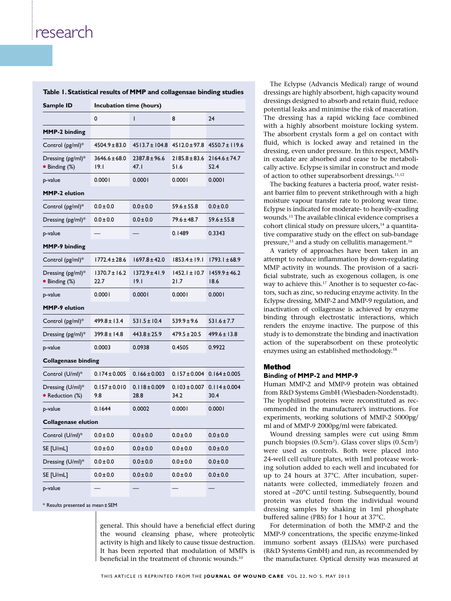| Table 1. Statistical results of MMP and collagensae binding studies |                           |                           |                           |                           |
|---------------------------------------------------------------------|---------------------------|---------------------------|---------------------------|---------------------------|
| Sample ID                                                           | Incubation time (hours)   |                           |                           |                           |
|                                                                     | 0                         | ı                         | 8                         | 24                        |
| <b>MMP-2 binding</b>                                                |                           |                           |                           |                           |
| Control (pg/ml)*                                                    | $4504.9 \pm 83.0$         | $4513.7 \pm 104.8$        | $4512.0 \pm 97.8$         | $4550.7 \pm 119.6$        |
| Dressing (pg/ml)*<br>• Binding (%)                                  | $3646.6 \pm 68.0$<br>19.I | $2387.8 \pm 96.6$<br>47.1 | $2185.8 \pm 83.6$<br>51.6 | $2164.6 \pm 74.7$<br>52.4 |
| p-value                                                             | 0.0001                    | 0.0001                    | 0.0001                    | 0.0001                    |
| <b>MMP-2 elution</b>                                                |                           |                           |                           |                           |
| Control (pg/ml)*                                                    | $0.0 \pm 0.0$             | $0.0 \pm 0.0$             | $59.6 \pm 55.8$           | $0.0 \pm 0.0$             |
| Dressing (pg/ml)*                                                   | $0.0 \pm 0.0$             | $0.0 \pm 0.0$             | $79.6 \pm 48.7$           | $59.6 \pm 55.8$           |
| p-value                                                             |                           |                           | 0.1489                    | 0.3343                    |
| <b>MMP-9 binding</b>                                                |                           |                           |                           |                           |
| Control (pg/ml)*                                                    | 1772.4 ± 28.6             | 1697.8±42.0               | $1853.4 \pm 19.1$         | $1793.1 \pm 68.9$         |
| Dressing (pg/ml)*<br>• Binding (%)                                  | 1370.7±16.2<br>22.7       | $1372.9 \pm 41.9$<br> 9.1 | $1452.1 \pm 10.7$<br>21.7 | $1459.9 \pm 46.2$<br>18.6 |
| p-value                                                             | 0.0001                    | 0.0001                    | 0.0001                    | 0.0001                    |
| <b>MMP-9</b> elution                                                |                           |                           |                           |                           |
| Control (pg/ml)*                                                    | $499.8 \pm 13.4$          | $531.5 \pm 10.4$          | $539.9 \pm 9.6$           | $531.6 \pm 7.7$           |
| Dressing (pg/ml)*                                                   | 399.8±14.8                | $443.8 \pm 25.9$          | $479.5 \pm 20.5$          | $499.6 \pm 13.8$          |
| p-value                                                             | 0.0003                    | 0.0938                    | 0.4505                    | 0.9922                    |
| <b>Collagenase binding</b>                                          |                           |                           |                           |                           |
| Control (U/ml)*                                                     | $0.174 \pm 0.005$         | $0.166 \pm 0.003$         | $0.157 \pm 0.004$         | $0.164 \pm 0.005$         |
| Dressing (U/ml)*<br>Reduction (%)                                   | $0.157 \pm 0.010$<br>9.8  | $0.118 \pm 0.009$<br>28.8 | $0.103 \pm 0.007$<br>34.2 | $0.114 \pm 0.004$<br>30.4 |
| p-value                                                             | 0.1644                    | 0.0002                    | 0.0001                    | 0.0001                    |
| <b>Collagenase elution</b>                                          |                           |                           |                           |                           |
| Control (U/ml)*                                                     | $0.0 \pm 0.0$             | $0.0 \pm 0.0$             | $0.0 \pm 0.0$             | $0.0 \pm 0.0$             |
| SE [U/mL]                                                           | $0.0 \pm 0.0$             | $0.0 \pm 0.0$             | $0.0 \pm 0.0$             | $0.0 \pm 0.0$             |
| Dressing (U/ml)*                                                    | $0.0 \pm 0.0$             | $0.0 \pm 0.0$             | $0.0 \pm 0.0$             | $0.0 \pm 0.0$             |
| SE [U/mL]                                                           | $0.0 \pm 0.0$             | $0.0 \pm 0.0$             | $0.0 \pm 0.0$             | $0.0 \pm 0.0$             |
| p-value                                                             |                           |                           |                           |                           |

\* Results presented as mean± SEM

general. This should have a beneficial effect during the wound cleansing phase, where proteolytic activity is high and likely to cause tissue destruction. It has been reported that modulation of MMPs is beneficial in the treatment of chronic wounds.10

The Eclypse (Advancis Medical) range of wound dressings are highly absorbent, high capacity wound dressings designed to absorb and retain fluid, reduce potential leaks and minimise the risk of maceration. The dressing has a rapid wicking face combined with a highly absorbent moisture locking system. The absorbent crystals form a gel on contact with fluid, which is locked away and retained in the dressing, even under pressure. In this respect, MMPs in exudate are absorbed and cease to be metabolically active. Eclypse is similar in construct and mode of action to other superabsorbent dressings.<sup>11,12</sup>

The backing features a bacteria proof, water resistant barrier film to prevent strikethrough with a high moisture vapour transfer rate to prolong wear time. Eclypse is indicated for moderate- to heavily-exuding wounds.13 The available clinical evidence comprises a cohort clinical study on pressure ulcers,<sup>14</sup> a quantitative comparative study on the effect on sub-bandage pressure,<sup>15</sup> and a study on cellulitis management.<sup>16</sup>

A variety of approaches have been taken in an attempt to reduce inflammation by down-regulating MMP activity in wounds. The provision of a sacrificial substrate, such as exogenous collagen, is one way to achieve this.<sup>17</sup> Another is to sequester co-factors, such as zinc, so reducing enzyme activity. In the Eclypse dressing, MMP-2 and MMP-9 regulation, and inactivation of collagenase is achieved by enzyme binding through electrostatic interactions, which renders the enzyme inactive. The purpose of this study is to demonstrate the binding and inactivation action of the superabsorbent on these proteolytic enzymes using an established methodology.18

### Method

#### **Binding of MMP-2 and MMP-9**

Human MMP-2 and MMP-9 protein was obtained from R&D Systems GmbH (Wiesbaden-Nordenstadt). The lyophilised proteins were reconstituted as recommended in the manufacturer's instructions. For experiments, working solutions of MMP-2 5000pg/ ml and of MMP-9 2000pg/ml were fabricated.

Wound dressing samples were cut using 8mm punch biopsies (0.5cm2). Glass cover slips (0.5cm2) were used as controls. Both were placed into 24-well cell culture plates, with 1ml protease working solution added to each well and incubated for up to 24 hours at 37°C. After incubation, supernatants were collected, immediately frozen and stored at –20°C until testing. Subsequently, bound protein was eluted from the individual wound dressing samples by shaking in 1ml phosphate buffered saline (PBS) for 1 hour at 37°C.

For determination of both the MMP-2 and the MMP-9 concentrations, the specific enzyme-linked immuno sorbent assays (ELISAs) were purchased (R&D Systems GmbH) and run, as recommended by the manufacturer. Optical density was measured at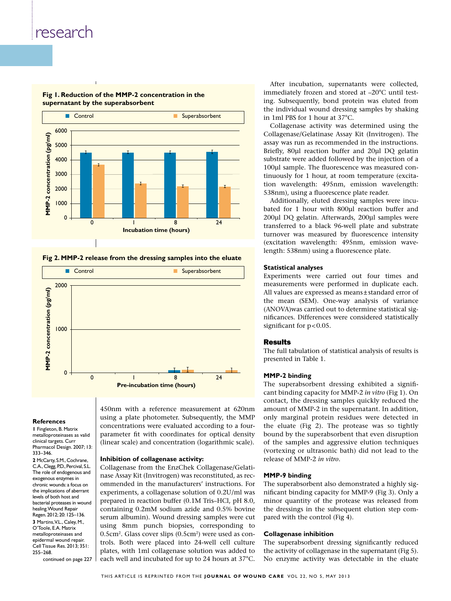

### **Fig 1. Reduction of the MMP-2 concentration in the supernatant by the superabsorbent**

**Fig 2. MMP-2 release from the dressing samples into the eluate**



#### **References**

**1** Fingleton, B. Matrix metalloproteinases as valid clinical targets. Curr Pharmacol Design. 2007; 13: 333–346. **2** McCarty, S.M., Cochrane, C.A., Clegg, P.D., Percival, S.L. The role of endogenous and exogenous enzymes in chronic wounds: a focus on the implications of aberrant levels of both host and bacterial proteases in wound healing. Wound Repair Regen. 2012; 20: 125–136. **3** Martins, V.L., Caley, M., O'Toole, E.A. Matrix metalloproteinases and epidermal wound repair. Cell Tissue Res. 2013; 351: 255–268.

continued on page 227

450nm with a reference measurement at 620nm using a plate photometer. Subsequently, the MMP concentrations were evaluated according to a fourparameter fit with coordinates for optical density (linear scale) and concentration (logarithmic scale).

### **Inhibition of collagenase activity:**

Collagenase from the EnzChek Collagenase/Gelatinase Assay Kit (Invitrogen) was reconstituted, as recommended in the manufacturers' instructions. For experiments, a collagenase solution of 0.2U/ml was prepared in reaction buffer (0.1M Tris–HCl, pH 8.0, containing 0.2mM sodium azide and 0.5% bovine serum albumin). Wound dressing samples were cut using 8mm punch biopsies, corresponding to  $0.5$ cm<sup>2</sup>. Glass cover slips  $(0.5cm<sup>2</sup>)$  were used as controls. Both were placed into 24-well cell culture plates, with 1ml collagenase solution was added to each well and incubated for up to 24 hours at 37°C.

After incubation, supernatants were collected, immediately frozen and stored at –20°C until testing. Subsequently, bond protein was eluted from the individual wound dressing samples by shaking in 1ml PBS for 1 hour at 37°C.

Collagenase activity was determined using the Collagenase/Gelatinase Assay Kit (Invitrogen). The assay was run as recommended in the instructions. Briefly, 80μl reaction buffer and 20μl DQ gelatin substrate were added followed by the injection of a 100μl sample. The fluorescence was measured continuously for 1 hour, at room temperature (excitation wavelength: 495nm, emission wavelength: 538nm), using a fluorescence plate reader.

Additionally, eluted dressing samples were incubated for 1 hour with 800μl reaction buffer and 200μl DQ gelatin. Afterwards, 200μl samples were transferred to a black 96-well plate and substrate turnover was measured by fluorescence intensity (excitation wavelength: 495nm, emission wavelength: 538nm) using a fluorescence plate.

#### **Statistical analyses**

Experiments were carried out four times and measurements were performed in duplicate each. All values are expressed as means±standard error of the mean (SEM). One-way analysis of variance (ANOVA)was carried out to determine statistical significances. Differences were considered statistically significant for  $p<0.05$ .

### Results

The full tabulation of statistical analysis of results is presented in Table 1.

#### **MMP-2 binding**

The superabsorbent dressing exhibited a significant binding capacity for MMP-2 *in vitro* (Fig 1). On contact, the dressing samples quickly reduced the amount of MMP-2 in the supernatant. In addition, only marginal protein residues were detected in the eluate (Fig 2). The protease was so tightly bound by the superabsorbent that even disruption of the samples and aggressive elution techniques (vortexing or ultrasonic bath) did not lead to the release of MMP-2 *in vitro*.

#### **MMP-9 binding**

The superabsorbent also demonstrated a highly significant binding capacity for MMP-9 (Fig 3). Only a minor quantity of the protease was released from the dressings in the subsequent elution step compared with the control (Fig 4).

#### **Collagenase inhibition**

The superabsorbent dressing significantly reduced the activity of collagenase in the supernatant (Fig 5). No enzyme activity was detectable in the eluate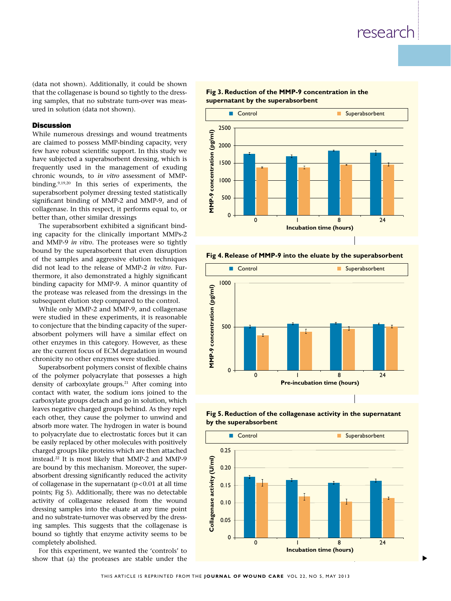(data not shown). Additionally, it could be shown that the collagenase is bound so tightly to the dressing samples, that no substrate turn-over was measured in solution (data not shown).

## Discussion

While numerous dressings and wound treatments are claimed to possess MMP-binding capacity, very few have robust scientific support. In this study we have subjected a superabsorbent dressing, which is frequently used in the management of exuding chronic wounds, to *in vitro* assessment of MMPbinding.<sup>9,19,20</sup> In this series of experiments, the superabsorbent polymer dressing tested statistically significant binding of MMP-2 and MMP-9, and of collagenase. In this respect, it performs equal to, or better than, other similar dressings

The superabsorbent exhibited a significant binding capacity for the clinically important MMPs-2 and MMP-9 *in vitro*. The proteases were so tightly bound by the superabsorbent that even disruption of the samples and aggressive elution techniques did not lead to the release of MMP-2 *in vitro*. Furthermore, it also demonstrated a highly significant binding capacity for MMP-9. A minor quantity of the protease was released from the dressings in the subsequent elution step compared to the control.

While only MMP-2 and MMP-9, and collagenase were studied in these experiments, it is reasonable to conjecture that the binding capacity of the superabsorbent polymers will have a similar effect on other enzymes in this category. However, as these are the current focus of ECM degradation in wound chronicity no other enzymes were studied.

Superabsorbent polymers consist of flexible chains of the polymer polyacrylate that possesses a high density of carboxylate groups.<sup>21</sup> After coming into contact with water, the sodium ions joined to the carboxylate groups detach and go in solution, which leaves negative charged groups behind. As they repel each other, they cause the polymer to unwind and absorb more water. The hydrogen in water is bound to polyacrylate due to electrostatic forces but it can be easily replaced by other molecules with positively charged groups like proteins which are then attached instead.22 It is most likely that MMP-2 and MMP-9 are bound by this mechanism. Moreover, the superabsorbent dressing significantly reduced the activity of collagenase in the supernatant  $(p<0.01$  at all time points; Fig 5). Additionally, there was no detectable activity of collagenase released from the wound dressing samples into the eluate at any time point and no substrate-turnover was observed by the dressing samples. This suggests that the collagenase is bound so tightly that enzyme activity seems to be completely abolished.

For this experiment, we wanted the 'controls' to show that (a) the proteases are stable under the



#### **Fig 3. Reduction of the MMP-9 concentration in the supernatant by the superabsorbent**

**Fig 4. Release of MMP-9 into the eluate by the superabsorbent**



**Fig 5. Reduction of the collagenase activity in the supernatant by the superabsorbent**



s